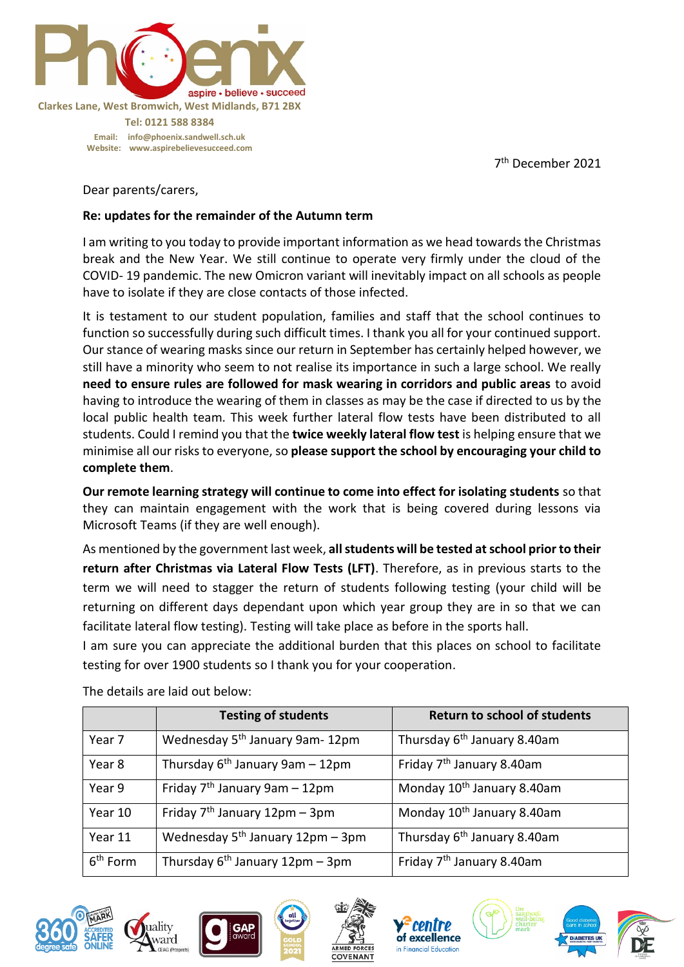

7 th December 2021

Dear parents/carers,

### **Re: updates for the remainder of the Autumn term**

I am writing to you today to provide important information as we head towards the Christmas break and the New Year. We still continue to operate very firmly under the cloud of the COVID- 19 pandemic. The new Omicron variant will inevitably impact on all schools as people have to isolate if they are close contacts of those infected.

It is testament to our student population, families and staff that the school continues to function so successfully during such difficult times. I thank you all for your continued support. Our stance of wearing masks since our return in September has certainly helped however, we still have a minority who seem to not realise its importance in such a large school. We really **need to ensure rules are followed for mask wearing in corridors and public areas** to avoid having to introduce the wearing of them in classes as may be the case if directed to us by the local public health team. This week further lateral flow tests have been distributed to all students. Could I remind you that the **twice weekly lateral flow test** is helping ensure that we minimise all our risks to everyone, so **please support the school by encouraging your child to complete them**.

**Our remote learning strategy will continue to come into effect for isolating students** so that they can maintain engagement with the work that is being covered during lessons via Microsoft Teams (if they are well enough).

As mentioned by the government last week, **all students will be tested at school prior to their return after Christmas via Lateral Flow Tests (LFT)**. Therefore, as in previous starts to the term we will need to stagger the return of students following testing (your child will be returning on different days dependant upon which year group they are in so that we can facilitate lateral flow testing). Testing will take place as before in the sports hall.

I am sure you can appreciate the additional burden that this places on school to facilitate testing for over 1900 students so I thank you for your cooperation.

|                      | <b>Testing of students</b>                 | <b>Return to school of students</b>     |
|----------------------|--------------------------------------------|-----------------------------------------|
| Year 7               | Wednesday 5 <sup>th</sup> January 9am-12pm | Thursday 6 <sup>th</sup> January 8.40am |
| Year 8               | Thursday $6th$ January 9am – 12pm          | Friday 7 <sup>th</sup> January 8.40am   |
| Year 9               | Friday 7 <sup>th</sup> January 9am - 12pm  | Monday 10 <sup>th</sup> January 8.40am  |
| Year 10              | Friday $7th$ January 12pm – 3pm            | Monday 10 <sup>th</sup> January 8.40am  |
| Year 11              | Wednesday $5th$ January 12pm – 3pm         | Thursday 6 <sup>th</sup> January 8.40am |
| 6 <sup>th</sup> Form | Thursday $6^{th}$ January 12pm - 3pm       | Friday 7 <sup>th</sup> January 8.40am   |

The details are laid out below:







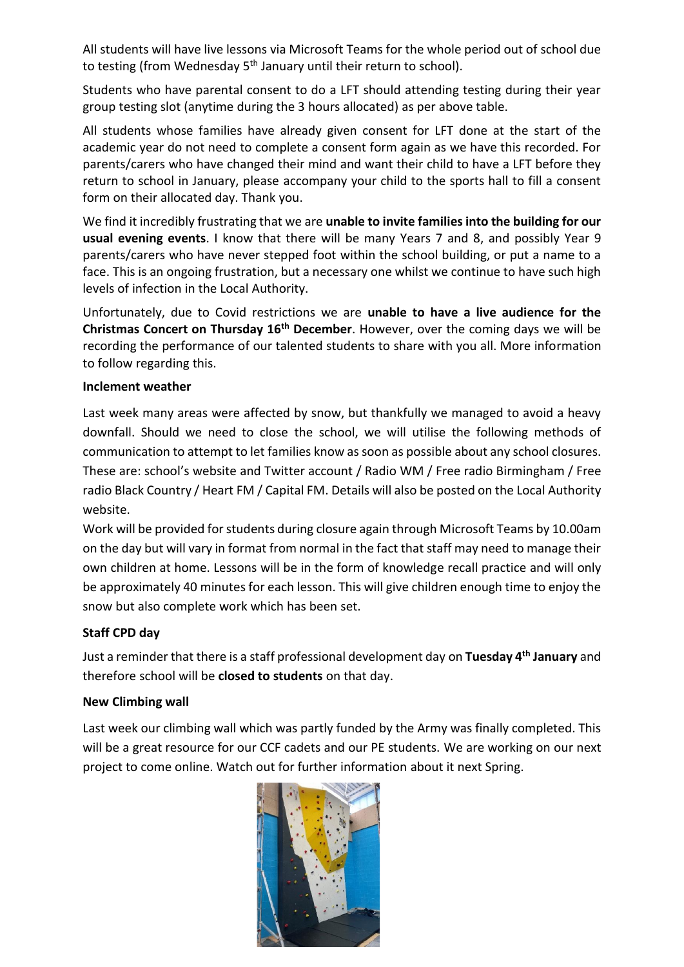All students will have live lessons via Microsoft Teams for the whole period out of school due to testing (from Wednesday 5<sup>th</sup> January until their return to school).

Students who have parental consent to do a LFT should attending testing during their year group testing slot (anytime during the 3 hours allocated) as per above table.

All students whose families have already given consent for LFT done at the start of the academic year do not need to complete a consent form again as we have this recorded. For parents/carers who have changed their mind and want their child to have a LFT before they return to school in January, please accompany your child to the sports hall to fill a consent form on their allocated day. Thank you.

We find it incredibly frustrating that we are **unable to invite families into the building for our usual evening events**. I know that there will be many Years 7 and 8, and possibly Year 9 parents/carers who have never stepped foot within the school building, or put a name to a face. This is an ongoing frustration, but a necessary one whilst we continue to have such high levels of infection in the Local Authority.

Unfortunately, due to Covid restrictions we are **unable to have a live audience for the Christmas Concert on Thursday 16th December**. However, over the coming days we will be recording the performance of our talented students to share with you all. More information to follow regarding this.

## **Inclement weather**

Last week many areas were affected by snow, but thankfully we managed to avoid a heavy downfall. Should we need to close the school, we will utilise the following methods of communication to attempt to let families know as soon as possible about any school closures. These are: school's website and Twitter account / Radio WM / Free radio Birmingham / Free radio Black Country / Heart FM / Capital FM. Details will also be posted on the Local Authority website.

Work will be provided for students during closure again through Microsoft Teams by 10.00am on the day but will vary in format from normal in the fact that staff may need to manage their own children at home. Lessons will be in the form of knowledge recall practice and will only be approximately 40 minutes for each lesson. This will give children enough time to enjoy the snow but also complete work which has been set.

# **Staff CPD day**

Just a reminder that there is a staff professional development day on **Tuesday 4th January** and therefore school will be **closed to students** on that day.

# **New Climbing wall**

Last week our climbing wall which was partly funded by the Army was finally completed. This will be a great resource for our CCF cadets and our PE students. We are working on our next project to come online. Watch out for further information about it next Spring.